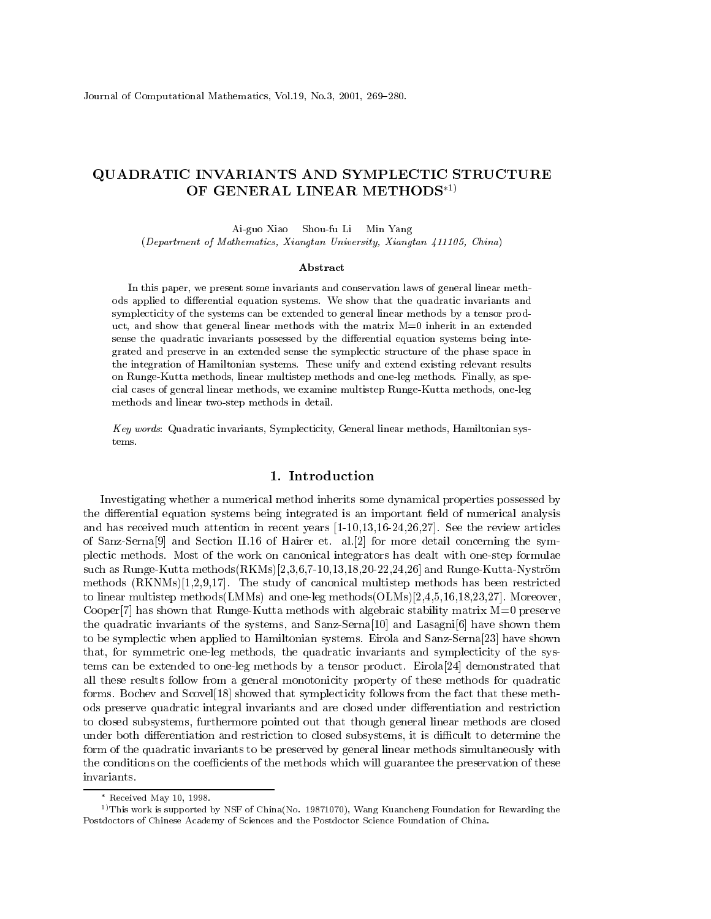# QUADRATIC INVARIANTS AND SYMPLECTIC STRUCTURE OF GENERAL LINEAR METHODS\*1)

Ai-guo Xiao Shou-fu Li Min Yang (Department of Mathematics, Xiangtan University, Xiangtan 411105, China)

#### Abstract

In this paper, we present some invariants and conservation laws of general linear methods applied to differential equation systems. We show that the quadratic invariants and symplecticity of the systems can be extended to general linear methods by a tensor product, and show that general linear methods with the matrix  $M=0$  inherit in an extended sense the quadratic invariants possessed by the differential equation systems being integrated and preserve in an extended sense the symplectic structure of the phase space in the integration of Hamiltonian systems. These unify and extend existing relevant results on Runge-Kutta methods, linear multistep methods and one-leg methods. Finally, as special cases of general linear methods, we examine multistep Runge-Kutta methods, one-leg methods and linear two-step methods in detail.

Key words: Quadratic invariants, Symplecticity, General linear methods, Hamiltonian systems.

## 1. Introduction

Investigating whether a numerical method inherits some dynamical properties possessed by the differential equation systems being integrated is an important field of numerical analysis and has received much attention in recent years  $[1-10,13,16-24,26,27]$ . See the review articles of Sanz-Serna<sup>[9]</sup> and Section II.16 of Hairer et. al. [2] for more detail concerning the symplectic methods. Most of the work on canonical integrators has dealt with one-step formulae such as Runge-Kutta methods (RKMs) [2,3,6,7-10,13,18,20-22,24,26] and Runge-Kutta-Nyström methods  $(RKNMs)[1,2,9,17]$ . The study of canonical multistep methods has been restricted to linear multistep methods (LMMs) and one-leg methods  $(OLMs)[2,4,5,16,18,23,27]$ . Moreover, Cooper<sup>[7]</sup> has shown that Runge-Kutta methods with algebraic stability matrix  $M=0$  preserve the quadratic invariants of the systems, and Sanz-Serna<sup>[10]</sup> and Lasagni<sup>[6]</sup> have shown them to be symplectic when applied to Hamiltonian systems. Eirola and Sanz-Serna[23] have shown that, for symmetric one-leg methods, the quadratic invariants and symplecticity of the systems can be extended to one-leg methods by a tensor product. Eirola<sup>[24]</sup> demonstrated that all these results follow from a general monotonicity property of these methods for quadratic forms. Bochev and Scovel<sup>[18]</sup> showed that symplecticity follows from the fact that these methods preserve quadratic integral invariants and are closed under differentiation and restriction to closed subsystems, furthermore pointed out that though general linear methods are closed under both differentiation and restriction to closed subsystems, it is difficult to determine the form of the quadratic invariants to be preserved by general linear methods simultaneously with the conditions on the coefficients of the methods which will guarantee the preservation of these invariants.

 $*$  Received May 10, 1998.

<sup>&</sup>lt;sup>1)</sup> This work is supported by NSF of China(No. 19871070), Wang Kuancheng Foundation for Rewarding the Postdoctors of Chinese Academy of Sciences and the Postdoctor Science Foundation of China.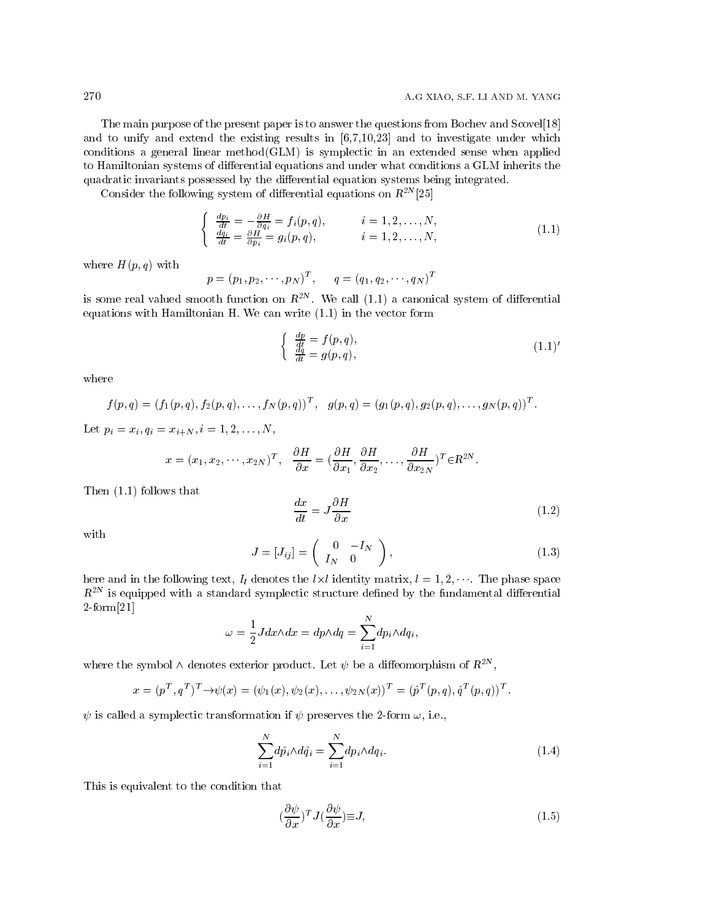The main purpose of the present paper is to answer the questions from Bochev and Scovel[18] and to unify and extend the existing results in  $[6,7,10,23]$  and to investigate under which conditions a general linear method  $(GLM)$  is symplectic in an extended sense when applied to Hamiltonian systems of differential equations and under what conditions a GLM inherits the quadratic invariants possessed by the differential equation systems being integrated.

Consider the following system of differential equations on  $R^{2N}[25]$ 

$$
\begin{cases}\n\frac{dp_i}{dt} = -\frac{\partial H}{\partial q_i} = f_i(p, q), & i = 1, 2, \dots, N, \\
\frac{dq_i}{dt} = \frac{\partial H}{\partial p_i} = g_i(p, q), & i = 1, 2, \dots, N,\n\end{cases}
$$
\n(1.1)

where  $H(p,q)$  with

$$
p = (p_1, p_2, \cdots, p_N)^T
$$
,  $q = (q_1, q_2, \cdots, q_N)^T$ 

is some real valued smooth function on  $R^{2N}$ . We call (1.1) a canonical system of differential equations with Hamiltonian H. We can write  $(1.1)$  in the vector form

$$
\begin{cases}\n\frac{dp}{dt} = f(p, q), \n\frac{dq}{dt} = g(p, q),\n\end{cases} (1.1)'
$$

where

$$
f(p,q) = (f_1(p,q), f_2(p,q), \ldots, f_N(p,q))^T, \quad g(p,q) = (g_1(p,q), g_2(p,q), \ldots, g_N(p,q))^T.
$$

Let  $p_i = x_i, q_i = x_{i+N}, i = 1, 2, ..., N$ ,

$$
x = (x_1, x_2, \dots, x_{2N})^T
$$
,  $\frac{\partial H}{\partial x} = (\frac{\partial H}{\partial x_1}, \frac{\partial H}{\partial x_2}, \dots, \frac{\partial H}{\partial x_{2N}})^T \in \mathbb{R}^{2N}$ .

Then  $(1.1)$  follows that

$$
\frac{dx}{dt} = J\frac{\partial H}{\partial x} \tag{1.2}
$$

with

$$
J = [J_{ij}] = \left(\begin{array}{cc} 0 & -I_N \\ I_N & 0 \end{array}\right),\tag{1.3}
$$

here and in the following text,  $I_l$  denotes the  $l \times l$  identity matrix,  $l = 1, 2, \dots$ . The phase space  $R^{2N}$  is equipped with a standard symplectic structure defined by the fundamental differential  $2$ -form $[21]$ 

$$
\omega = \frac{1}{2} J dx \wedge dx = dp \wedge dq = \sum_{i=1}^{N} dp_i \wedge dq_i,
$$

where the symbol  $\wedge$  denotes exterior product. Let  $\psi$  be a diffeomorphism of  $R^{2N}$ ,

$$
x = (p^T, q^T)^T \to \psi(x) = (\psi_1(x), \psi_2(x), \dots, \psi_{2N}(x))^T = (\hat{p}^T(p, q), \hat{q}^T(p, q))^T.
$$

 $\psi$  is called a symplectic transformation if  $\psi$  preserves the 2-form  $\omega$ , i.e.,

$$
\sum_{i=1}^{N} d\hat{p}_i \wedge d\hat{q}_i = \sum_{i=1}^{N} dp_i \wedge dq_i.
$$
\n(1.4)

This is equivalent to the condition that

$$
\left(\frac{\partial\psi}{\partial x}\right)^{T}J\left(\frac{\partial\psi}{\partial x}\right)\equiv J,\tag{1.5}
$$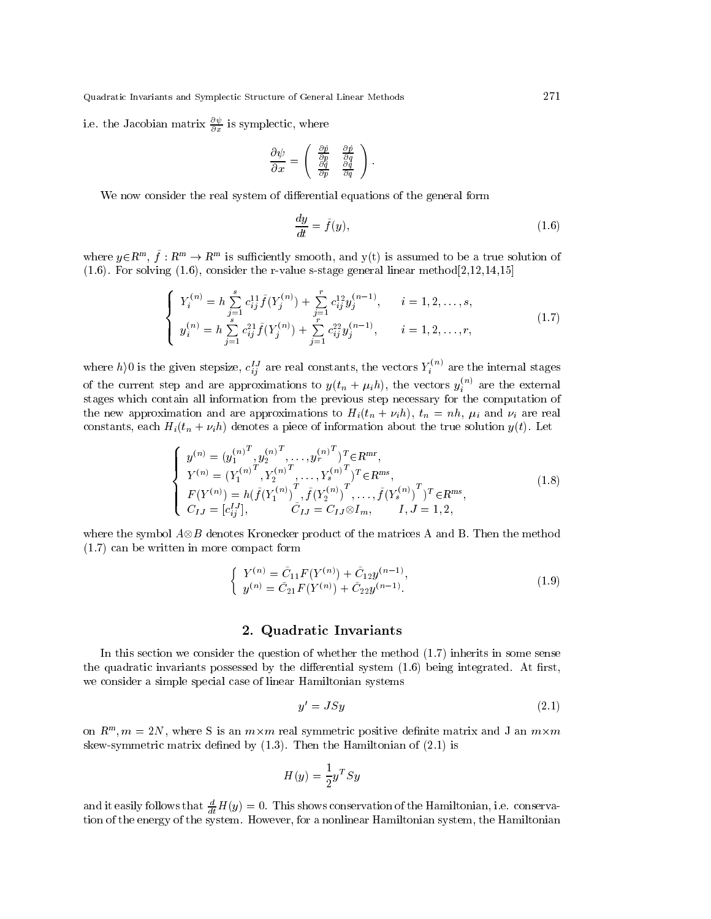i.e. the Jacobian matrix  $\frac{\partial \psi}{\partial x}$  is symplectic, where

$$
\frac{\partial \psi}{\partial x} = \begin{pmatrix} \frac{\partial \hat{p}}{\partial p} & \frac{\partial \hat{p}}{\partial q} \\ \frac{\partial \hat{q}}{\partial p} & \frac{\partial \hat{q}}{\partial q} \end{pmatrix}.
$$

We now consider the real system of differential equations of the general form

$$
\frac{dy}{dt} = \tilde{f}(y),\tag{1.6}
$$

where  $y \in \mathbb{R}^m$ ,  $\tilde{f}: \mathbb{R}^m \to \mathbb{R}^m$  is sufficiently smooth, and  $y(t)$  is assumed to be a true solution of  $(1.6)$ . For solving  $(1.6)$ , consider the r-value s-stage general linear method  $[2,12,14,15]$ 

$$
\begin{cases}\nY_i^{(n)} = h \sum_{j=1}^s c_{ij}^{11} \tilde{f}(Y_j^{(n)}) + \sum_{j=1}^r c_{ij}^{12} y_j^{(n-1)}, & i = 1, 2, \dots, s, \\
y_i^{(n)} = h \sum_{j=1}^s c_{ij}^{21} \tilde{f}(Y_j^{(n)}) + \sum_{j=1}^r c_{ij}^{22} y_j^{(n-1)}, & i = 1, 2, \dots, r,\n\end{cases}
$$
\n(1.7)

where  $h$ )0 is the given stepsize,  $c_{ij}^{IJ}$  are real constants, the vectors  $Y_i^{(n)}$  are the internal stages of the current step and are approximations to  $y(t_n + \mu_i h)$ , the vectors  $y_i^{(n)}$  are the external stages which contain all information from the previous step necessary for the computation of the new approximation and are approximations to  $H_i(t_n + \nu_i h)$ ,  $t_n = nh$ ,  $\mu_i$  and  $\nu_i$  are real constants, each  $H_i(t_n + \nu_i h)$  denotes a piece of information about the true solution  $y(t)$ . Let

$$
\begin{cases}\ny^{(n)} = (y_1^{(n)})^T, y_2^{(n)}^T, \dots, y_r^{(n)}^T)^T \in \mathbb{R}^{mr}, \\
Y^{(n)} = (Y_1^{(n)})^T, Y_2^{(n)}^T, \dots, Y_s^{(n)}^T)^T \in \mathbb{R}^{ms}, \\
F(Y^{(n)}) = h(\tilde{f}(Y_1^{(n)})^T, \tilde{f}(Y_2^{(n)})^T, \dots, \tilde{f}(Y_s^{(n)})^T)^T \in \mathbb{R}^{ms}, \\
C_{IJ} = [c_{ij}^{IJ}], \qquad \tilde{C}_{IJ} = C_{IJ} \otimes I_m, \qquad I, J = 1, 2,\n\end{cases} \tag{1.8}
$$

where the symbol  $A \otimes B$  denotes Kronecker product of the matrices A and B. Then the method  $(1.7)$  can be written in more compact form

$$
\begin{cases}\nY^{(n)} = \tilde{C}_{11}F(Y^{(n)}) + \tilde{C}_{12}y^{(n-1)}, \ny^{(n)} = \tilde{C}_{21}F(Y^{(n)}) + \tilde{C}_{22}y^{(n-1)}.\n\end{cases}
$$
\n(1.9)

#### 2. Quadratic Invariants

In this section we consider the question of whether the method  $(1.7)$  inherits in some sense the quadratic invariants possessed by the differential system  $(1.6)$  being integrated. At first, we consider a simple special case of linear Hamiltonian systems

$$
y' = JSy \tag{2.1}
$$

on  $R^m$ ,  $m = 2N$ , where S is an  $m \times m$  real symmetric positive definite matrix and J an  $m \times m$ skew-symmetric matrix defined by  $(1.3)$ . Then the Hamiltonian of  $(2.1)$  is

$$
H(y) = \frac{1}{2}y^T S y
$$

and it easily follows that  $\frac{d}{dt}H(y)=0$ . This shows conservation of the Hamiltonian, i.e. conservation of the energy of the system. However, for a nonlinear Hamiltonian system, the Hamiltonian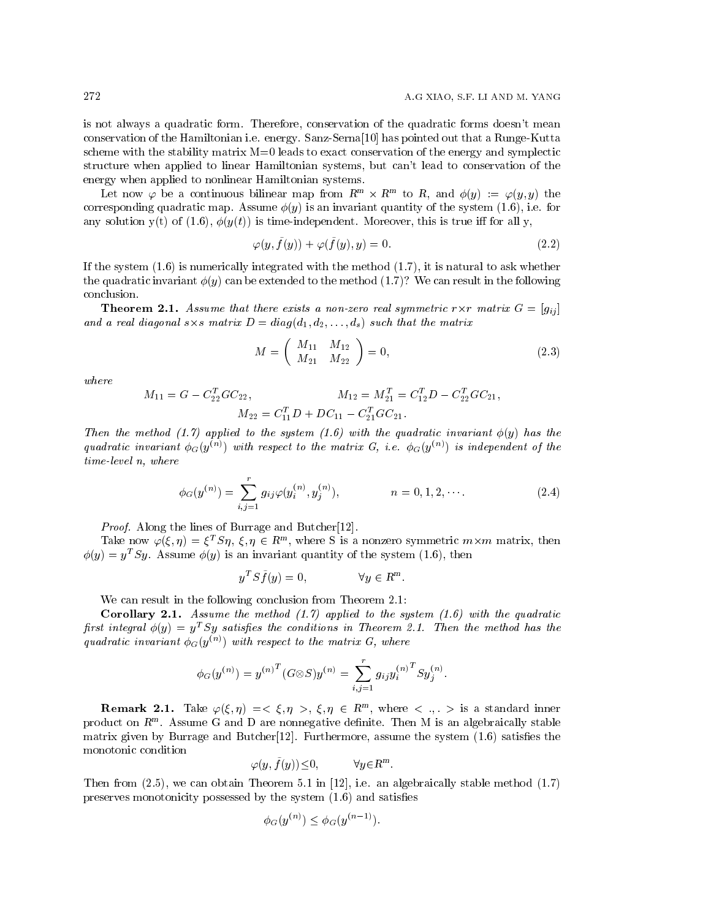is not always a quadratic form. Therefore, conservation of the quadratic forms doesn't mean conservation of the Hamiltonian i.e. energy. Sanz-Serna [10] has pointed out that a Runge-Kutta scheme with the stability matrix M=0 leads to exact conservation of the energy and symplectic structure when applied to linear Hamiltonian systems, but can't lead to conservation of the energy when applied to nonlinear Hamiltonian systems.

Let now  $\varphi$  be a continuous bilinear map from  $R^m \times R^m$  to R, and  $\phi(y) := \varphi(y, y)$  the corresponding quadratic map. Assume  $\phi(y)$  is an invariant quantity of the system (1.6), i.e. for any solution y(t) of (1.6),  $\phi(y(t))$  is time-independent. Moreover, this is true iff for all y,

$$
\varphi(y, \tilde{f}(y)) + \varphi(\tilde{f}(y), y) = 0. \tag{2.2}
$$

If the system  $(1.6)$  is numerically integrated with the method  $(1.7)$ , it is natural to ask whether the quadratic invariant  $\phi(y)$  can be extended to the method (1.7)? We can result in the following conclusion.

**Theorem 2.1.** Assume that there exists a non-zero real symmetric  $r \times r$  matrix  $G = [q_{ij}]$ and a real diagonal  $s \times s$  matrix  $D = diag(d_1, d_2, ..., d_s)$  such that the matrix

$$
M = \left(\begin{array}{cc} M_{11} & M_{12} \\ M_{21} & M_{22} \end{array}\right) = 0,\tag{2.3}
$$

 $where$ 

$$
M_{11} = G - C_{22}^{T}GC_{22}, \qquad M_{12} = M_{21}^{T} = C_{12}^{T}D - C_{22}^{T}GC_{21},
$$

$$
M_{22} = C_{11}^{T}D + DC_{11} - C_{21}^{T}GC_{21}.
$$

Then the method (1.7) applied to the system (1.6) with the quadratic invariant  $\phi(y)$  has the quadratic invariant  $\phi_G(y^{(n)})$  with respect to the matrix G, i.e.  $\phi_G(y^{(n)})$  is independent of the  $time-level$  n, where

$$
\phi_G(y^{(n)}) = \sum_{i,j=1}^r g_{ij} \varphi(y_i^{(n)}, y_j^{(n)}), \qquad n = 0, 1, 2, \cdots.
$$
 (2.4)

*Proof.* Along the lines of Burrage and Butcher<sup>[12]</sup>.

Take now  $\varphi(\xi,\eta) = \xi^T S \eta$ ,  $\xi, \eta \in R^m$ , where S is a nonzero symmetric  $m \times m$  matrix, then  $\phi(y) = y^T S y$ . Assume  $\phi(y)$  is an invariant quantity of the system (1.6), then

$$
y^T S \tilde{f}(y) = 0, \qquad \forall y \in R^m.
$$

We can result in the following conclusion from Theorem 2.1:

**Corollary 2.1.** Assume the method  $(1.7)$  applied to the system  $(1.6)$  with the quadratic first integral  $\phi(y) = y^T S y$  satisfies the conditions in Theorem 2.1. Then the method has the quadratic invariant  $\phi_G(y^{(n)})$  with respect to the matrix G, where

$$
\phi_G(y^{(n)}) = y^{(n)^T} (G \otimes S) y^{(n)} = \sum_{i,j=1}^r g_{ij} y_i^{(n)^T} S y_j^{(n)}.
$$

**Remark 2.1.** Take  $\varphi(\xi, \eta) = \langle \xi, \eta \rangle, \xi, \eta \in R^m$ , where  $\langle \xi, \eta \rangle$  is a standard inner product on  $R^m$ . Assume G and D are nonnegative definite. Then M is an algebraically stable matrix given by Burrage and Butcher  $[12]$ . Furthermore, assume the system  $(1.6)$  satisfies the monotonic condition

$$
\varphi(y, \tilde{f}(y)) \le 0, \qquad \forall y \in \mathbb{R}^m.
$$

Then from  $(2.5)$ , we can obtain Theorem 5.1 in [12], i.e. an algebraically stable method  $(1.7)$ preserves monotonicity possessed by the system  $(1.6)$  and satisfies

$$
\phi_G(y^{(n)}) \le \phi_G(y^{(n-1)}).
$$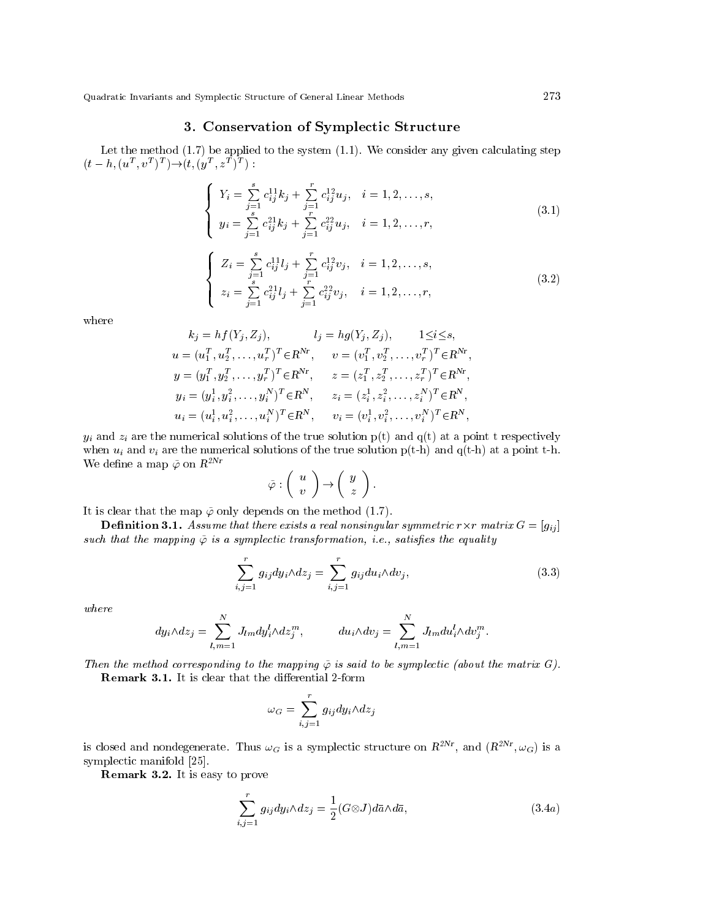## 3. Conservation of Symplectic Structure

Let the method  $(1.7)$  be applied to the system  $(1.1)$ . We consider any given calculating step  $(t-h, (u^T, v^T)^T) \rightarrow (t, (y^T, z^T)^T)$ :

$$
\begin{cases}\nY_i = \sum_{j=1}^s c_{ij}^{11} k_j + \sum_{j=1}^r c_{ij}^{12} u_j, & i = 1, 2, \dots, s, \\
y_i = \sum_{j=1}^s c_{ij}^{21} k_j + \sum_{j=1}^r c_{ij}^{22} u_j, & i = 1, 2, \dots, r,\n\end{cases}
$$
\n(3.1)

$$
\begin{cases}\nZ_i = \sum_{j=1}^s c_{ij}^{11} l_j + \sum_{j=1}^r c_{ij}^{12} v_j, \quad i = 1, 2, \dots, s, \\
z_i = \sum_{j=1}^s c_{ij}^{21} l_j + \sum_{j=1}^r c_{ij}^{22} v_j, \quad i = 1, 2, \dots, r,\n\end{cases}
$$
\n(3.2)

where

$$
k_j = hf(Y_j, Z_j), \t l_j = hg(Y_j, Z_j), \t 1 \le i \le s,
$$
  
\n
$$
u = (u_1^T, u_2^T, \dots, u_r^T)^T \in \mathbb{R}^{Nr}, \t v = (v_1^T, v_2^T, \dots, v_r^T)^T \in \mathbb{R}^{Nr},
$$
  
\n
$$
y = (y_1^T, y_2^T, \dots, y_r^T)^T \in \mathbb{R}^{Nr}, \t z = (z_1^T, z_2^T, \dots, z_r^T)^T \in \mathbb{R}^{Nr},
$$
  
\n
$$
y_i = (y_i^1, y_i^2, \dots, y_i^N)^T \in \mathbb{R}^N, \t z_i = (z_i^1, z_i^2, \dots, z_i^N)^T \in \mathbb{R}^N,
$$
  
\n
$$
u_i = (u_i^1, u_i^2, \dots, u_i^N)^T \in \mathbb{R}^N, \t v_i = (v_i^1, v_i^2, \dots, v_i^N)^T \in \mathbb{R}^N,
$$

 $y_i$  and  $z_i$  are the numerical solutions of the true solution  $p(t)$  and  $q(t)$  at a point t respectively when  $u_i$  and  $v_i$  are the numerical solutions of the true solution  $p(t-h)$  and  $q(t-h)$  at a point t-h. We define a map  $\tilde{\varphi}$  on  $R^{2Nr}$ 

$$
\tilde{\varphi} : \left( \begin{array}{c} u \\ v \end{array} \right) \rightarrow \left( \begin{array}{c} y \\ z \end{array} \right).
$$

It is clear that the map  $\tilde{\varphi}$  only depends on the method (1.7).

**Definition 3.1.** Assume that there exists a real nonsingular symmetric  $r \times r$  matrix  $G = [g_{ij}]$ such that the mapping  $\tilde{\varphi}$  is a symplectic transformation, i.e., satisfies the equality

$$
\sum_{i,j=1}^{r} g_{ij} dy_i \wedge dz_j = \sum_{i,j=1}^{r} g_{ij} du_i \wedge dv_j,
$$
\n(3.3)

where

$$
dy_i \wedge dz_j = \sum_{l,m=1}^N J_{lm} dy_i^l \wedge dz_j^m, \qquad du_i \wedge dv_j = \sum_{l,m=1}^N J_{lm} du_i^l \wedge dv_j^m.
$$

Then the method corresponding to the mapping  $\tilde{\varphi}$  is said to be symplectic (about the matrix G).

**Remark 3.1.** It is clear that the differential 2-form

$$
\omega_G = \sum_{i,j=1}^r g_{ij} dy_i \wedge dz_j
$$

is closed and nondegenerate. Thus  $\omega_G$  is a symplectic structure on  $R^{2Nr}$ , and  $(R^{2Nr}, \omega_G)$  is a symplectic manifold [25].

**Remark 3.2.** It is easy to prove

$$
\sum_{i,j=1}^{r} g_{ij} dy_i \wedge dz_j = \frac{1}{2} (G \otimes J) d\bar{a} \wedge d\bar{a}, \qquad (3.4a)
$$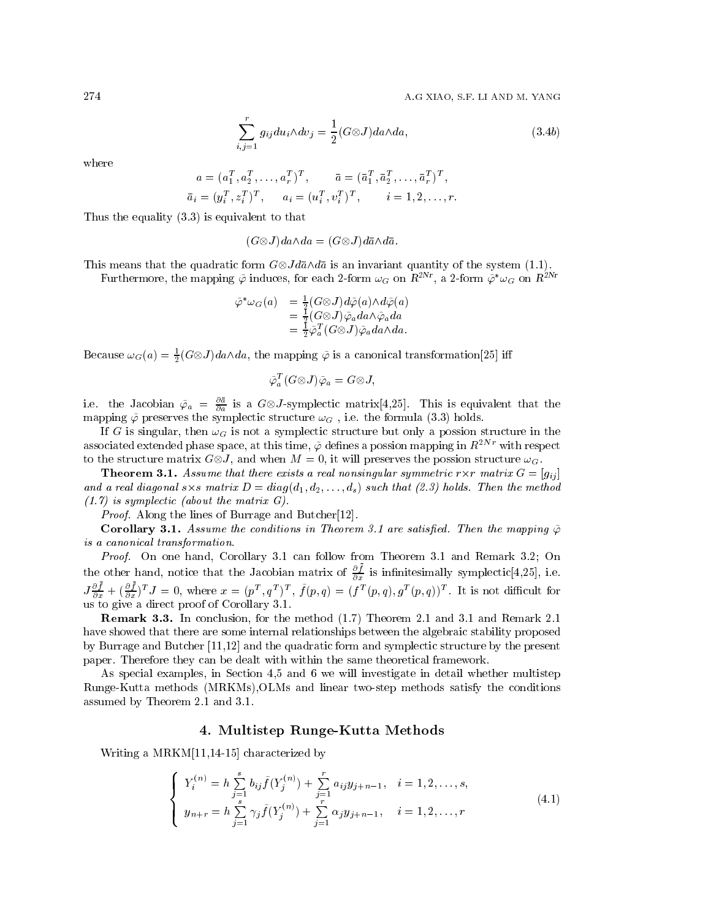A.G XIAO, S.F. LI AND M. YANG

$$
\sum_{j=1}^{r} g_{ij} du_i \wedge dv_j = \frac{1}{2} (G \otimes J) da \wedge da, \qquad (3.4b)
$$

where

$$
a = (a_1^T, a_2^T, \dots, a_r^T)^T, \qquad \bar{a} = (\bar{a}_1^T, \bar{a}_2^T, \dots, \bar{a}_r^T)^T,
$$
  

$$
\bar{a}_i = (y_i^T, z_i^T)^T, \qquad a_i = (u_i^T, v_i^T)^T, \qquad i = 1, 2, \dots, r.
$$

Thus the equality  $(3.3)$  is equivalent to that

 $\dot{i}$ 

 $(G \otimes J)da \wedge da = (G \otimes J) d\bar{a} \wedge d\bar{a}.$ 

This means that the quadratic form  $G \otimes J d\bar{a} \wedge d\bar{a}$  is an invariant quantity of the system (1.1).

Furthermore, the mapping  $\tilde{\varphi}$  induces, for each 2-form  $\omega_G$  on  $R^{2Nr}$ , a 2-form  $\tilde{\varphi}^*\omega_G$  on  $R^{2Ni}$ 

$$
\begin{array}{ll} \tilde{\varphi}^*\omega_G(a) & = \frac{1}{2}(G\otimes J)d\tilde{\varphi}(a)\wedge d\tilde{\varphi}(a) \\ & = \frac{1}{2}(G\otimes J)\tilde{\varphi}_a da \wedge \tilde{\varphi}_a da \\ & = \frac{1}{2}\tilde{\varphi}_a^T(G\otimes J)\tilde{\varphi}_a da \wedge da. \end{array}
$$

Because  $\omega_G(a) = \frac{1}{2}(G \otimes J)da \wedge da$ , the mapping  $\tilde{\varphi}$  is a canonical transformation [25] iff

$$
\tilde{\varphi}_a^T(G \otimes J) \tilde{\varphi}_a = G \otimes J,
$$

i.e. the Jacobian  $\tilde{\varphi}_a = \frac{\partial \bar{a}}{\partial a}$  is a  $G \otimes J$ -symplectic matrix[4,25]. This is equivalent that the mapping  $\tilde{\varphi}$  preserves the symplectic structure  $\omega_G$ , i.e. the formula (3.3) holds.

If G is singular, then  $\omega_G$  is not a symplectic structure but only a possion structure in the associated extended phase space, at this time,  $\tilde{\varphi}$  defines a possion mapping in  $R^{2Nr}$  with respect to the structure matrix  $G \otimes J$ , and when  $M = 0$ , it will preserves the possion structure  $\omega_G$ .

**Theorem 3.1.** Assume that there exists a real nonsingular symmetric  $r \times r$  matrix  $G = [g_{ij}]$ and a real diagonal  $s \times s$  matrix  $D = diag(d_1, d_2, \ldots, d_s)$  such that (2.3) holds. Then the method  $(1.7)$  is symplectic (about the matrix G).

*Proof.* Along the lines of Burrage and Butcher<sup>[12]</sup>.

**Corollary 3.1.** Assume the conditions in Theorem 3.1 are satisfied. Then the mapping  $\tilde{\varphi}$ is a canonical transformation.

Proof. On one hand, Corollary 3.1 can follow from Theorem 3.1 and Remark 3.2; On the other hand, notice that the Jacobian matrix of  $\frac{\partial \bar{f}}{\partial x}$  is infinitesimally symplectic[4,25], i.e.<br> $J\frac{\partial \bar{f}}{\partial x} + (\frac{\partial \bar{f}}{\partial x})^T J = 0$ , where  $x = (p^T, q^T)^T$ ,  $\tilde{f}(p, q) = (f^T(p, q), g^T(p, q))^T$ . It is not difficult f

**Remark 3.3.** In conclusion, for the method (1.7) Theorem 2.1 and 3.1 and Remark 2.1 have showed that there are some internal relationships between the algebraic stability proposed by Burrage and Butcher [11,12] and the quadratic form and symplectic structure by the present paper. Therefore they can be dealt with within the same theoretical framework.

As special examples, in Section 4.5 and 6 we will investigate in detail whether multistep Runge-Kutta methods (MRKMs), OLMs and linear two-step methods satisfy the conditions assumed by Theorem 2.1 and 3.1.

#### 4. Multistep Runge-Kutta Methods

Writing a  $MRKM[11,14-15]$  characterized by

$$
\begin{cases}\nY_i^{(n)} = h \sum_{j=1}^s b_{ij} \tilde{f}(Y_j^{(n)}) + \sum_{j=1}^r a_{ij} y_{j+n-1}, & i = 1, 2, \dots, s, \\
y_{n+r} = h \sum_{j=1}^s \gamma_j \tilde{f}(Y_j^{(n)}) + \sum_{j=1}^r \alpha_j y_{j+n-1}, & i = 1, 2, \dots, r\n\end{cases}
$$
\n(4.1)

274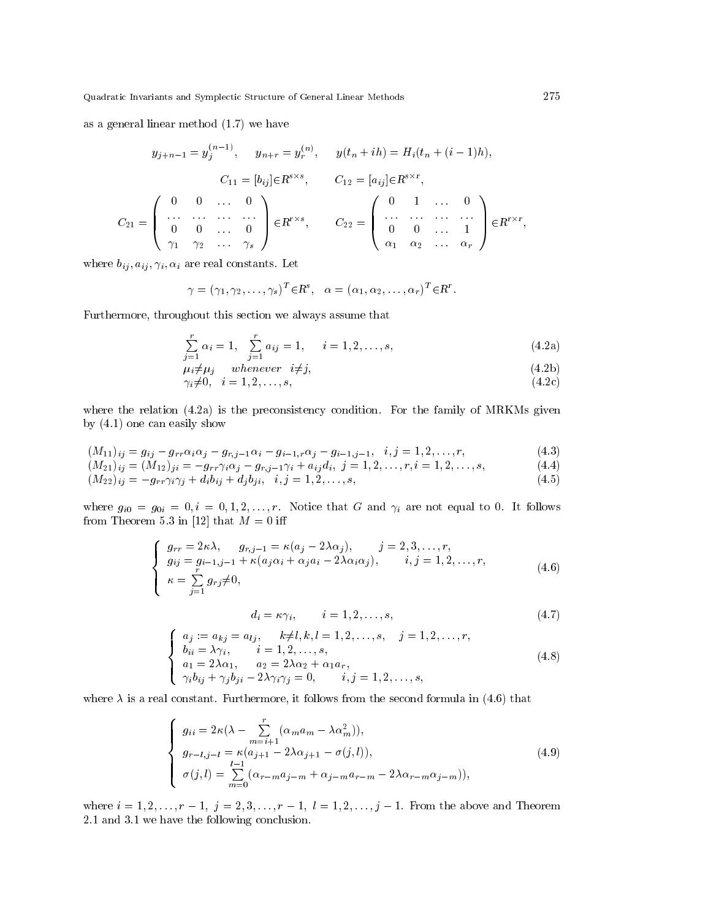as a general linear method  $(1.7)$  we have

$$
y_{j+n-1} = y_j^{(n-1)}, \quad y_{n+r} = y_r^{(n)}, \quad y(t_n + ih) = H_i(t_n + (i-1)h),
$$

$$
C_{11} = [b_{ij}] \in R^{s \times s}, \quad C_{12} = [a_{ij}] \in R^{s \times r},
$$

$$
C_{21} = \begin{pmatrix} 0 & 0 & \dots & 0 \\ \dots & \dots & \dots & \dots \\ 0 & 0 & \dots & 0 \\ \gamma_1 & \gamma_2 & \dots & \gamma_s \end{pmatrix} \in R^{r \times s}, \quad C_{22} = \begin{pmatrix} 0 & 1 & \dots & 0 \\ \dots & \dots & \dots & \dots \\ 0 & 0 & \dots & 1 \\ \alpha_1 & \alpha_2 & \dots & \alpha_r \end{pmatrix} \in R^{r \times r},
$$

where  $b_{ij}, a_{ij}, \gamma_i, \alpha_i$  are real constants. Let

$$
\gamma = (\gamma_1, \gamma_2, \dots, \gamma_s)^T \in \mathbb{R}^s, \quad \alpha = (\alpha_1, \alpha_2, \dots, \alpha_r)^T \in \mathbb{R}^r.
$$

Furthermore, throughout this section we always assume that

$$
\sum_{j=1}^{r} \alpha_i = 1, \quad \sum_{j=1}^{r} a_{ij} = 1, \quad i = 1, 2, \dots, s,
$$
\n(4.2a)

$$
\mu_i \neq \mu_j \qquad \text{whenever} \quad i \neq j,\tag{4.2b}
$$

$$
\gamma_i \neq 0, \quad i = 1, 2, \dots, s,\tag{4.2c}
$$

where the relation  $(4.2a)$  is the preconsistency condition. For the family of MRKMs given by  $(4.1)$  one can easily show

$$
(M_{11})_{ij} = g_{ij} - g_{rr}\alpha_i\alpha_j - g_{r,j-1}\alpha_i - g_{i-1,r}\alpha_j - g_{i-1,j-1}, \quad i, j = 1, 2, \dots, r,
$$
\n
$$
(M_{11})_{ij} = (M_{11})_{ij} - g_{i-1}\alpha_j\alpha_j - g_{i-1,r}\alpha_j - g_{i-1,j-1}, \quad i, j = 1, 2, \dots, r,
$$
\n
$$
(4.3)
$$

$$
(M_{21})_{ij} = (M_{12})_{ji} = -g_{rr}\gamma_i\alpha_j - g_{r,j-1}\gamma_i + a_{ij}d_i, \ j = 1, 2, \dots, r, i = 1, 2, \dots, s,
$$
\n
$$
(4.4)
$$

$$
(M_{22})_{ij} = -g_{rr}\gamma_i\gamma_j + d_ib_{ij} + d_jb_{ji}, \quad i, j = 1, 2, \dots, s,
$$
\n
$$
(4.5)
$$

where  $g_{i0} = g_{0i} = 0, i = 0, 1, 2, ..., r$ . Notice that G and  $\gamma_i$  are not equal to 0. It follows from Theorem 5.3 in [12] that  $M = 0$  iff

$$
\begin{cases}\n g_{rr} = 2\kappa\lambda, & g_{r,j-1} = \kappa(a_j - 2\lambda\alpha_j), & j = 2, 3, \dots, r, \\
 g_{ij} = g_{i-1,j-1} + \kappa(a_j\alpha_i + \alpha_ja_i - 2\lambda\alpha_i\alpha_j), & i, j = 1, 2, \dots, r, \\
 \kappa = \sum_{j=1}^r g_{rj} \neq 0,\n\end{cases}
$$
\n(4.6)

$$
d_i = \kappa \gamma_i, \qquad i = 1, 2, \dots, s,
$$
\n
$$
(4.7)
$$

$$
\begin{cases}\na_j := a_{kj} = a_{lj}, & k \neq l, k, l = 1, 2, ..., s, \quad j = 1, 2, ..., r, \\
b_{ii} = \lambda \gamma_i, & i = 1, 2, ..., s, \\
a_1 = 2\lambda \alpha_1, & a_2 = 2\lambda \alpha_2 + \alpha_1 a_r, \\
\gamma_i b_{ij} + \gamma_j b_{ji} - 2\lambda \gamma_i \gamma_j = 0, & i, j = 1, 2, ..., s,\n\end{cases}
$$
\n(4.8)

where  $\lambda$  is a real constant. Furthermore, it follows from the second formula in (4.6) that

$$
g_{ii} = 2\kappa(\lambda - \sum_{m=i+1}^{r} (\alpha_m a_m - \lambda \alpha_m^2)),
$$
  
\n
$$
g_{r-l,j-l} = \kappa(a_{j+1} - 2\lambda \alpha_{j+1} - \sigma(j,l)),
$$
  
\n
$$
\sigma(j,l) = \sum_{m=0}^{l-1} (\alpha_{r-m} a_{j-m} + \alpha_{j-m} a_{r-m} - 2\lambda \alpha_{r-m} \alpha_{j-m})),
$$
\n(4.9)

where  $i = 1, 2, ..., r - 1$ ,  $j = 2, 3, ..., r - 1$ ,  $l = 1, 2, ..., j - 1$ . From the above and Theorem 2.1 and 3.1 we have the following conclusion.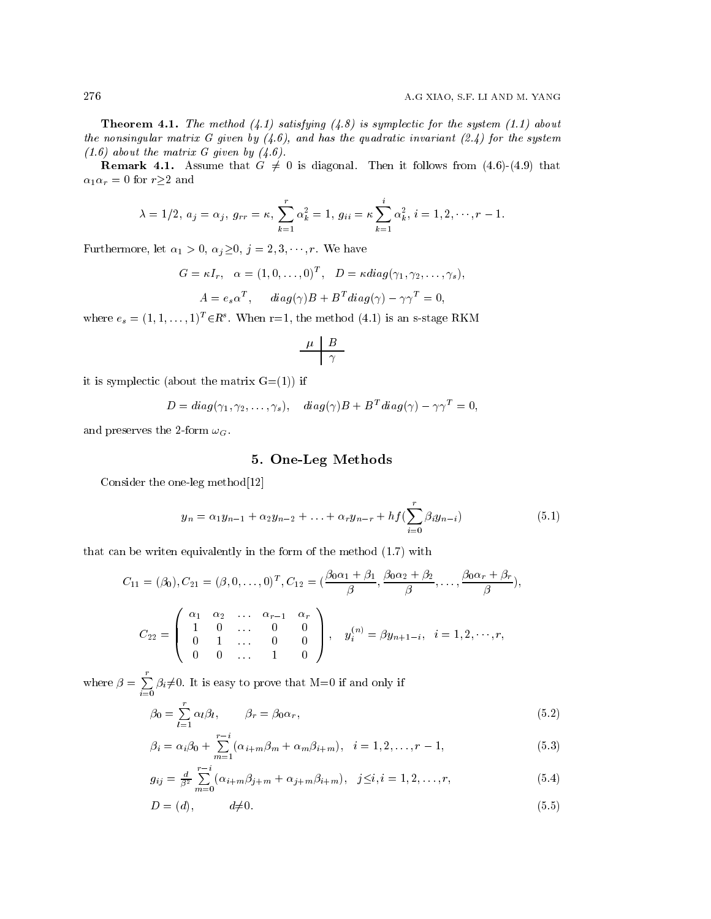**Theorem 4.1.** The method (4.1) satisfying (4.8) is symplectic for the system (1.1) about the nonsingular matrix G given by  $(4.6)$ , and has the quadratic invariant  $(2.4)$  for the system  $(1.6)$  about the matrix G given by  $(4.6)$ .

**Remark 4.1.** Assume that  $G \neq 0$  is diagonal. Then it follows from (4.6)-(4.9) that  $\alpha_1 \alpha_r = 0$  for  $r \geq 2$  and

$$
\lambda = 1/2, a_j = \alpha_j, g_{rr} = \kappa, \sum_{k=1}^r \alpha_k^2 = 1, g_{ii} = \kappa \sum_{k=1}^i \alpha_k^2, i = 1, 2, \dots, r-1
$$

Furthermore, let  $\alpha_1 > 0$ ,  $\alpha_j \geq 0$ ,  $j = 2, 3, \dots, r$ . We have

$$
G = \kappa I_r, \quad \alpha = (1, 0, \dots, 0)^T, \quad D = \kappa \operatorname{diag}(\gamma_1, \gamma_2, \dots, \gamma_s),
$$

$$
A = e_s \alpha^T, \quad \operatorname{diag}(\gamma)B + B^T \operatorname{diag}(\gamma) - \gamma \gamma^T = 0,
$$

where  $e_s = (1, 1, \dots, 1)^T \in \mathbb{R}^s$ . When r=1, the method (4.1) is an s-stage RKM

$$
\begin{array}{c|c}\n\mu & B \\
\hline\n\gamma\n\end{array}
$$

it is symplectic (about the matrix  $G=(1)$ ) if

$$
D = diag(\gamma_1, \gamma_2, \dots, \gamma_s), diag(\gamma)B + B^T diag(\gamma) - \gamma \gamma^T = 0
$$

and preserves the 2-form  $\omega_G$ .

## 5. One-Leg Methods

Consider the one-leg method $[12]$ 

$$
y_n = \alpha_1 y_{n-1} + \alpha_2 y_{n-2} + \ldots + \alpha_r y_{n-r} + h f(\sum_{i=0}^r \beta_i y_{n-i})
$$
\n(5.1)

that can be writen equivalently in the form of the method  $(1.7)$  with

$$
C_{11} = (\beta_0), C_{21} = (\beta, 0, \dots, 0)^T, C_{12} = \left(\frac{\beta_0 \alpha_1 + \beta_1}{\beta}, \frac{\beta_0 \alpha_2 + \beta_2}{\beta}, \dots, \frac{\beta_0 \alpha_r + \beta_r}{\beta}\right),
$$
  

$$
C_{22} = \begin{pmatrix} \alpha_1 & \alpha_2 & \dots & \alpha_{r-1} & \alpha_r \\ 1 & 0 & \dots & 0 & 0 \\ 0 & 1 & \dots & 0 & 0 \\ 0 & 0 & \dots & 1 & 0 \end{pmatrix}, \quad y_i^{(n)} = \beta y_{n+1-i}, \quad i = 1, 2, \dots, r,
$$

where  $\beta = \sum_{i=0}^{r} \beta_i \neq 0$ . It is easy to prove that M=0 if and only if

$$
\beta_0 = \sum_{l=1}^r \alpha_l \beta_l, \qquad \beta_r = \beta_0 \alpha_r,\tag{5.2}
$$

$$
\beta_i = \alpha_i \beta_0 + \sum_{m=1}^{r-i} (\alpha_{i+m} \beta_m + \alpha_m \beta_{i+m}), \quad i = 1, 2, \dots, r-1,
$$
\n(5.3)

$$
g_{ij} = \frac{d}{\beta^2} \sum_{m=0}^{r-i} (\alpha_{i+m} \beta_{j+m} + \alpha_{j+m} \beta_{i+m}), \quad j \le i, i = 1, 2, \dots, r,
$$
 (5.4)

$$
D = (d), \qquad d \neq 0. \tag{5.5}
$$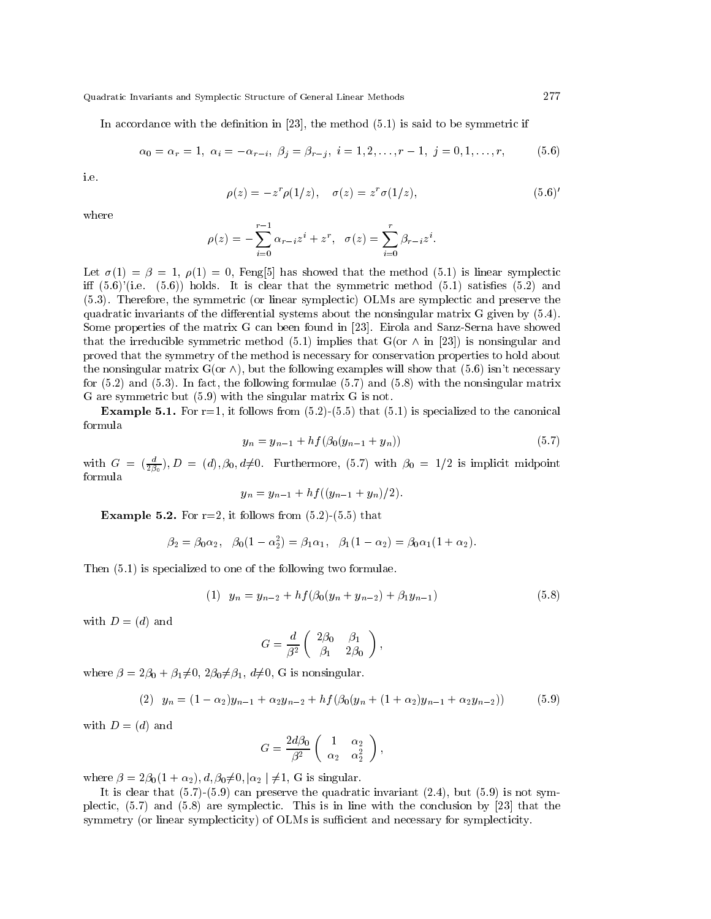In accordance with the definition in [23], the method  $(5.1)$  is said to be symmetric if

$$
\alpha_0 = \alpha_r = 1, \ \alpha_i = -\alpha_{r-i}, \ \beta_j = \beta_{r-j}, \ i = 1, 2, \dots, r-1, \ j = 0, 1, \dots, r,
$$
 (5.6)

i e

$$
\rho(z) = -z^r \rho(1/z), \quad \sigma(z) = z^r \sigma(1/z), \tag{5.6'}
$$

where

$$
\rho(z) = -\sum_{i=0}^{r-1} \alpha_{r-i} z^i + z^r, \quad \sigma(z) = \sum_{i=0}^r \beta_{r-i} z^i.
$$

Let  $\sigma(1) = \beta = 1$ ,  $\rho(1) = 0$ , Feng[5] has showed that the method (5.1) is linear symplectic iff  $(5.6)'$  (i.e.  $(5.6)'$ ) holds. It is clear that the symmetric method  $(5.1)$  satisfies  $(5.2)$  and (5.3). Therefore, the symmetric (or linear symplectic) OLMs are symplectic and preserve the quadratic invariants of the differential systems about the nonsingular matrix  $G$  given by  $(5.4)$ . Some properties of the matrix G can been found in [23]. Eirola and Sanz-Serna have showed that the irreducible symmetric method (5.1) implies that G(or  $\wedge$  in [23]) is nonsingular and proved that the symmetry of the method is necessary for conservation properties to hold about the nonsingular matrix  $G($ or  $\wedge$ ), but the following examples will show that (5.6) isn't necessary for  $(5.2)$  and  $(5.3)$ . In fact, the following formulae  $(5.7)$  and  $(5.8)$  with the nonsingular matrix G are symmetric but  $(5.9)$  with the singular matrix G is not.

**Example 5.1.** For r=1, it follows from  $(5.2)$ - $(5.5)$  that  $(5.1)$  is specialized to the canonical formula

$$
y_n = y_{n-1} + h f(\beta_0(y_{n-1} + y_n))
$$
\n(5.7)

with  $G = (\frac{d}{2\beta_0})$ ,  $D = (d)$ ,  $\beta_0$ ,  $d\neq 0$ . Furthermore, (5.7) with  $\beta_0 = 1/2$  is implicit midpoint formula

$$
y_n = y_{n-1} + h f((y_{n-1} + y_n)/2)
$$

**Example 5.2.** For  $r=2$ , it follows from  $(5.2)$ - $(5.5)$  that

$$
\beta_2 = \beta_0 \alpha_2, \quad \beta_0 (1 - \alpha_2^2) = \beta_1 \alpha_1, \quad \beta_1 (1 - \alpha_2) = \beta_0 \alpha_1 (1 + \alpha_2).
$$

Then  $(5.1)$  is specialized to one of the following two formulae.

(1) 
$$
y_n = y_{n-2} + h f(\beta_0(y_n + y_{n-2}) + \beta_1 y_{n-1})
$$
 (5.8)

with  $D = (d)$  and

$$
G = \frac{d}{\beta^2} \left( \begin{array}{cc} 2\beta_0 & \beta_1 \\ \beta_1 & 2\beta_0 \end{array} \right),
$$

where  $\beta = 2\beta_0 + \beta_1 \neq 0$ ,  $2\beta_0 \neq \beta_1$ ,  $d\neq 0$ , G is nonsingular.

(2) 
$$
y_n = (1 - \alpha_2)y_{n-1} + \alpha_2 y_{n-2} + h f(\beta_0(y_n + (1 + \alpha_2)y_{n-1} + \alpha_2 y_{n-2}))
$$
 (5.9)

with  $D = (d)$  and

$$
G = \frac{2d\beta_0}{\beta^2} \left( \begin{array}{cc} 1 & \alpha_2 \\ \alpha_2 & \alpha_2^2 \end{array} \right),
$$

where  $\beta = 2\beta_0(1 + \alpha_2), d, \beta_0 \neq 0, |\alpha_2| \neq 1$ , G is singular.

It is clear that  $(5.7)$ - $(5.9)$  can preserve the quadratic invariant  $(2.4)$ , but  $(5.9)$  is not symplectic,  $(5.7)$  and  $(5.8)$  are symplectic. This is in line with the conclusion by [23] that the symmetry (or linear symplecticity) of OLMs is sufficient and necessary for symplecticity.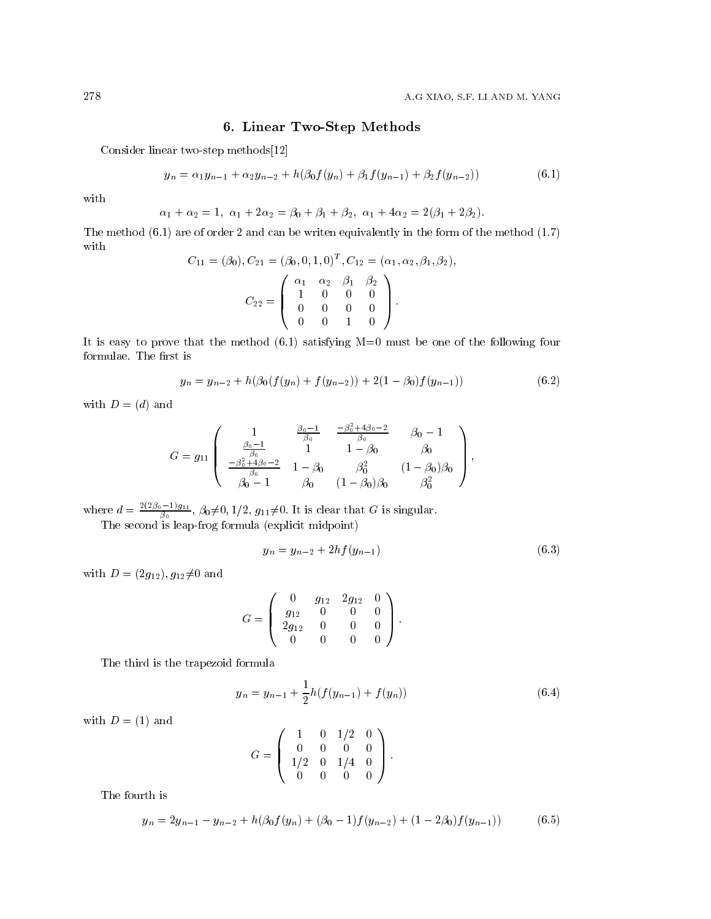## 6. Linear Two-Step Methods

Consider linear two-step methods[12]

$$
y_n = \alpha_1 y_{n-1} + \alpha_2 y_{n-2} + h(\beta_0 f(y_n) + \beta_1 f(y_{n-1}) + \beta_2 f(y_{n-2}))
$$
\n(6.1)

with

$$
\alpha_1 + \alpha_2 = 1, \ \alpha_1 + 2\alpha_2 = \beta_0 + \beta_1 + \beta_2, \ \alpha_1 + 4\alpha_2 = 2(\beta_1 + 2\beta_2)
$$

The method  $(6.1)$  are of order 2 and can be writen equivalently in the form of the method  $(1.7)$ with  $(A_1) C_2 = (A_2 \ 0 \ 1 \ 0)^T C_2 = (A_2 \ 0 \ 1 \ 0)^T C_2$  $\sim$   $\sqrt{ }$ 

$$
C_{11} = (\beta_0), C_{21} = (\beta_0, 0, 1, 0)^T, C_{12} = (\alpha_1, \alpha_2, \beta_1, \beta_2),
$$

$$
C_{22} = \begin{pmatrix} \alpha_1 & \alpha_2 & \beta_1 & \beta_2 \\ 1 & 0 & 0 & 0 \\ 0 & 0 & 0 & 0 \\ 0 & 0 & 1 & 0 \end{pmatrix}.
$$

It is easy to prove that the method  $(6.1)$  satisfying  $M=0$  must be one of the following four formulae. The first is

$$
y_n = y_{n-2} + h(\beta_0(f(y_n) + f(y_{n-2})) + 2(1 - \beta_0)f(y_{n-1}))
$$
\n(6.2)

with  $D = (d)$  and

$$
G = g_{11} \begin{pmatrix} 1 & \frac{\beta_0 - 1}{\beta_0} & \frac{-\beta_0^2 + 4\beta_0 - 2}{\beta_0} & \beta_0 - 1 \\ \frac{\beta_0 - 1}{\beta_0} & 1 & 1 - \beta_0 & \beta_0 \\ \frac{-\beta_0^2 + 4\beta_0 - 2}{\beta_0} & 1 - \beta_0 & \beta_0^2 & (1 - \beta_0)\beta_0 \\ \beta_0 - 1 & \beta_0 & (1 - \beta_0)\beta_0 & \beta_0^2 \end{pmatrix},
$$

where  $d = \frac{2(2\beta_0 - 1)g_{11}}{\beta_0}$ ,  $\beta_0 \neq 0, 1/2, g_{11} \neq 0$ . It is clear that G is singular.<br>The second is leap-frog formula (explicit midpoint)

$$
y_n = y_{n-2} + 2hf(y_{n-1})
$$
\n(6.3)

with  $D = (2g_{12}), g_{12} \neq 0$  and

$$
G = \left(\begin{array}{cccc} 0 & g_{12} & 2g_{12} & 0 \\ g_{12} & 0 & 0 & 0 \\ 2g_{12} & 0 & 0 & 0 \\ 0 & 0 & 0 & 0 \end{array}\right).
$$

The third is the trapezoid formula

$$
y_n = y_{n-1} + \frac{1}{2}h(f(y_{n-1}) + f(y_n))
$$
\n(6.4)

 $\hat{\mathbf{r}}$ 

with  $D = (1)$  and

$$
G = \left(\begin{array}{rrrr} 1 & 0 & 1/2 & 0 \\ 0 & 0 & 0 & 0 \\ 1/2 & 0 & 1/4 & 0 \\ 0 & 0 & 0 & 0 \end{array}\right)
$$

The fourth is

$$
y_n = 2y_{n-1} - y_{n-2} + h(\beta_0 f(y_n) + (\beta_0 - 1)f(y_{n-2}) + (1 - 2\beta_0)f(y_{n-1}))
$$
(6.5)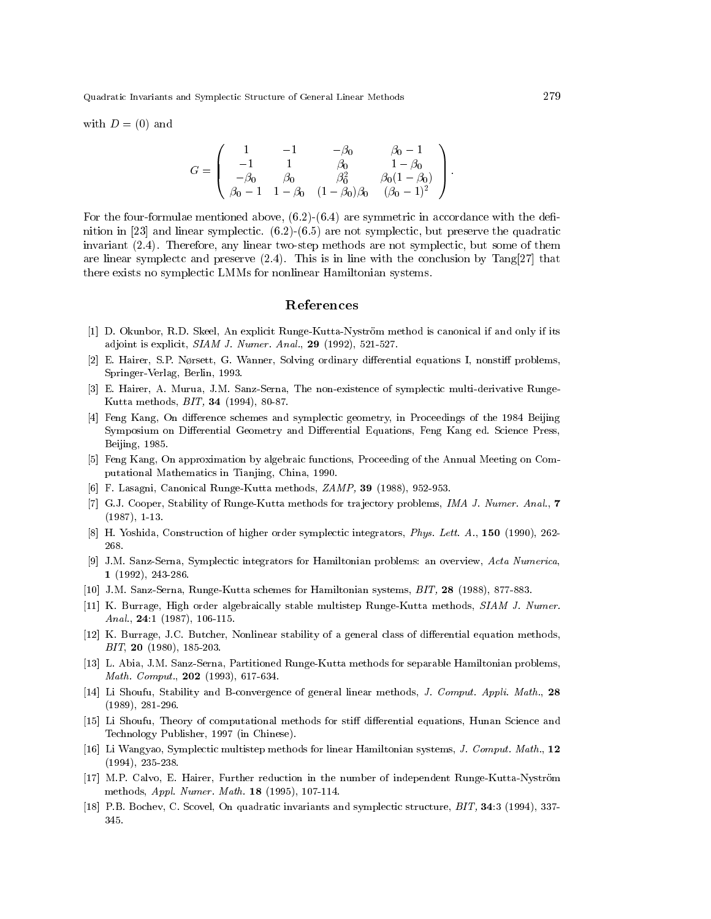with  $D = (0)$  and

$$
G = \left( \begin{array}{cccc} 1 & -1 & -\beta_0 & \beta_0 - 1 \\ -1 & 1 & \beta_0 & 1 - \beta_0 \\ -\beta_0 & \beta_0 & \beta_0^2 & \beta_0(1 - \beta_0) \\ \beta_0 - 1 & 1 - \beta_0 & (1 - \beta_0)\beta_0 & (\beta_0 - 1)^2 \end{array} \right).
$$

For the four-formulae mentioned above,  $(6.2)$ - $(6.4)$  are symmetric in accordance with the definition in [23] and linear symplectic.  $(6.2)$ - $(6.5)$  are not symplectic, but preserve the quadratic invariant (2.4). Therefore, any linear two-step methods are not symplectic, but some of them are linear symplects and preserve  $(2.4)$ . This is in line with the conclusion by Tang[27] that there exists no symplectic LMMs for nonlinear Hamiltonian systems.

#### References

- [1] D. Okunbor, R.D. Skeel, An explicit Runge-Kutta-Nyström method is canonical if and only if its adjoint is explicit,  $SIAMJ. Numer. Anal., 29 (1992), 521-527.$
- [2] E. Hairer, S.P. Nørsett, G. Wanner, Solving ordinary differential equations I, nonstiff problems, Springer-Verlag, Berlin, 1993.
- [3] E. Hairer, A. Murua, J.M. Sanz-Serna, The non-existence of symplectic multi-derivative Runge-Kutta methods, *BIT*, **34** (1994), 80-87.
- [4] Feng Kang, On difference schemes and symplectic geometry, in Proceedings of the 1984 Beijing Symposium on Differential Geometry and Differential Equations, Feng Kang ed. Science Press. Beijing, 1985.
- [5] Feng Kang, On approximation by algebraic functions, Proceeding of the Annual Meeting on Computational Mathematics in Tianjing, China, 1990.
- [6] F. Lasagni, Canonical Runge-Kutta methods, ZAMP, 39 (1988), 952-953.
- [7] G.J. Cooper, Stability of Runge-Kutta methods for trajectory problems, IMA J. Numer. Anal., 7  $(1987), 1-13.$
- [8] H. Yoshida, Construction of higher order symplectic integrators, *Phys. Lett. A.*, 150 (1990), 262-268.
- [9] J.M. Sanz-Serna, Symplectic integrators for Hamiltonian problems: an overview, Acta Numerica.  $1(1992), 243-286.$
- [10] J.M. Sanz-Serna, Runge-Kutta schemes for Hamiltonian systems, BIT, 28 (1988), 877-883.
- [11] K. Burrage, High order algebraically stable multistep Runge-Kutta methods, SIAM J. Numer. Anal.,  $24:1$  (1987), 106-115.
- [12] K. Burrage, J.C. Butcher, Nonlinear stability of a general class of differential equation methods,  $BIT$ , 20 (1980), 185-203.
- [13] L. Abia, J.M. Sanz-Serna, Partitioned Runge-Kutta methods for separable Hamiltonian problems, Math. Comput., 202 (1993), 617-634.
- [14] Li Shoufu, Stability and B-convergence of general linear methods, J. Comput. Appli. Math., 28  $(1989), 281-296.$
- [15] Li Shoufu, Theory of computational methods for stiff differential equations, Hunan Science and Technology Publisher, 1997 (in Chinese).
- [16] Li Wangyao, Symplectic multistep methods for linear Hamiltonian systems, J. Comput. Math., 12  $(1994)$ , 235-238.
- [17] M.P. Calvo, E. Hairer, Further reduction in the number of independent Runge-Kutta-Nyström methods, Appl. Numer. Math. 18 (1995), 107-114.
- [18] P.B. Bochev, C. Scovel, On quadratic invariants and symplectic structure, BIT, 34:3 (1994), 337-345.